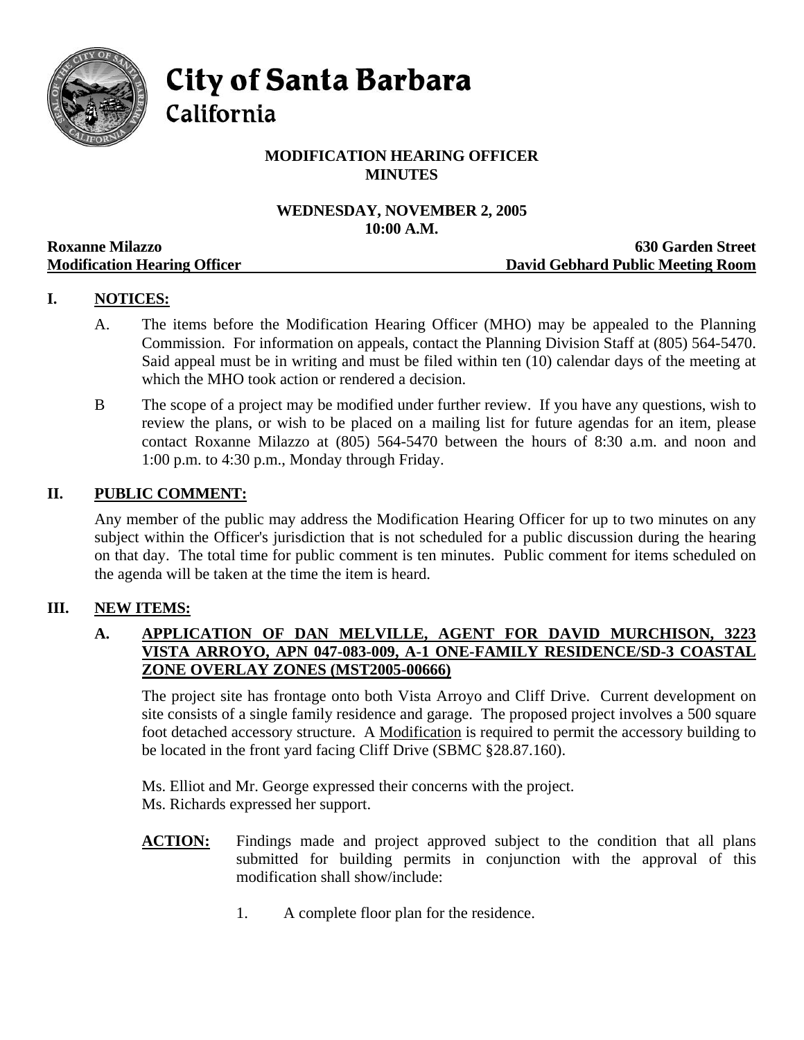

**City of Santa Barbara** 

California

# **MODIFICATION HEARING OFFICER MINUTES**

# **WEDNESDAY, NOVEMBER 2, 2005 10:00 A.M.**

|                                     | TANDA TIMAN                       |
|-------------------------------------|-----------------------------------|
| <b>Roxanne Milazzo</b>              | <b>630 Garden Street</b>          |
| <b>Modification Hearing Officer</b> | David Gebhard Public Meeting Room |

# **I. NOTICES:**

- A. The items before the Modification Hearing Officer (MHO) may be appealed to the Planning Commission. For information on appeals, contact the Planning Division Staff at (805) 564-5470. Said appeal must be in writing and must be filed within ten (10) calendar days of the meeting at which the MHO took action or rendered a decision.
- B The scope of a project may be modified under further review. If you have any questions, wish to review the plans, or wish to be placed on a mailing list for future agendas for an item, please contact Roxanne Milazzo at (805) 564-5470 between the hours of 8:30 a.m. and noon and 1:00 p.m. to 4:30 p.m., Monday through Friday.

## **II. PUBLIC COMMENT:**

Any member of the public may address the Modification Hearing Officer for up to two minutes on any subject within the Officer's jurisdiction that is not scheduled for a public discussion during the hearing on that day. The total time for public comment is ten minutes. Public comment for items scheduled on the agenda will be taken at the time the item is heard.

## **III. NEW ITEMS:**

## **A. APPLICATION OF DAN MELVILLE, AGENT FOR DAVID MURCHISON, 3223 VISTA ARROYO, APN 047-083-009, A-1 ONE-FAMILY RESIDENCE/SD-3 COASTAL ZONE OVERLAY ZONES (MST2005-00666)**

The project site has frontage onto both Vista Arroyo and Cliff Drive. Current development on site consists of a single family residence and garage. The proposed project involves a 500 square foot detached accessory structure. A Modification is required to permit the accessory building to be located in the front yard facing Cliff Drive (SBMC §28.87.160).

Ms. Elliot and Mr. George expressed their concerns with the project. Ms. Richards expressed her support.

- **ACTION:** Findings made and project approved subject to the condition that all plans submitted for building permits in conjunction with the approval of this modification shall show/include:
	- 1. A complete floor plan for the residence.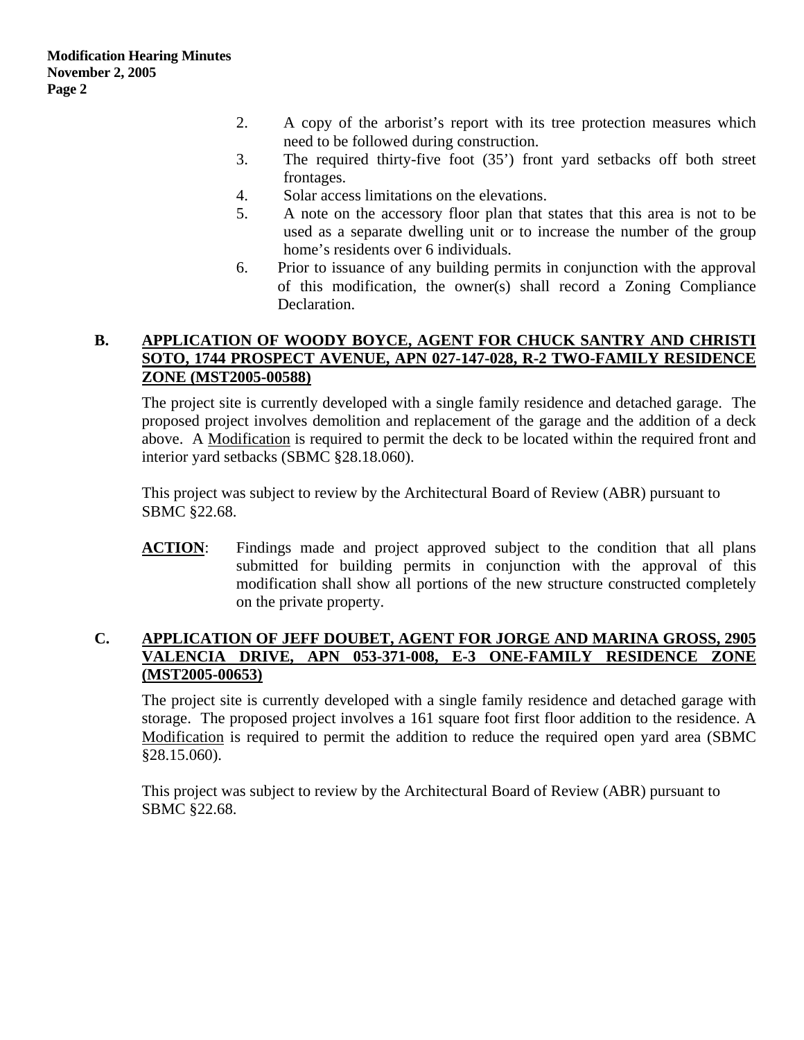- 2. A copy of the arborist's report with its tree protection measures which need to be followed during construction.
- 3. The required thirty-five foot (35') front yard setbacks off both street frontages.
- 4. Solar access limitations on the elevations.
- 5. A note on the accessory floor plan that states that this area is not to be used as a separate dwelling unit or to increase the number of the group home's residents over 6 individuals.
- 6. Prior to issuance of any building permits in conjunction with the approval of this modification, the owner(s) shall record a Zoning Compliance Declaration.

## **B. APPLICATION OF WOODY BOYCE, AGENT FOR CHUCK SANTRY AND CHRISTI SOTO, 1744 PROSPECT AVENUE, APN 027-147-028, R-2 TWO-FAMILY RESIDENCE ZONE (MST2005-00588)**

The project site is currently developed with a single family residence and detached garage. The proposed project involves demolition and replacement of the garage and the addition of a deck above. A Modification is required to permit the deck to be located within the required front and interior yard setbacks (SBMC §28.18.060).

This project was subject to review by the Architectural Board of Review (ABR) pursuant to SBMC §22.68.

**ACTION**: Findings made and project approved subject to the condition that all plans submitted for building permits in conjunction with the approval of this modification shall show all portions of the new structure constructed completely on the private property.

### **C. APPLICATION OF JEFF DOUBET, AGENT FOR JORGE AND MARINA GROSS, 2905 VALENCIA DRIVE, APN 053-371-008, E-3 ONE-FAMILY RESIDENCE ZONE (MST2005-00653)**

The project site is currently developed with a single family residence and detached garage with storage. The proposed project involves a 161 square foot first floor addition to the residence. A Modification is required to permit the addition to reduce the required open yard area (SBMC §28.15.060).

This project was subject to review by the Architectural Board of Review (ABR) pursuant to SBMC §22.68.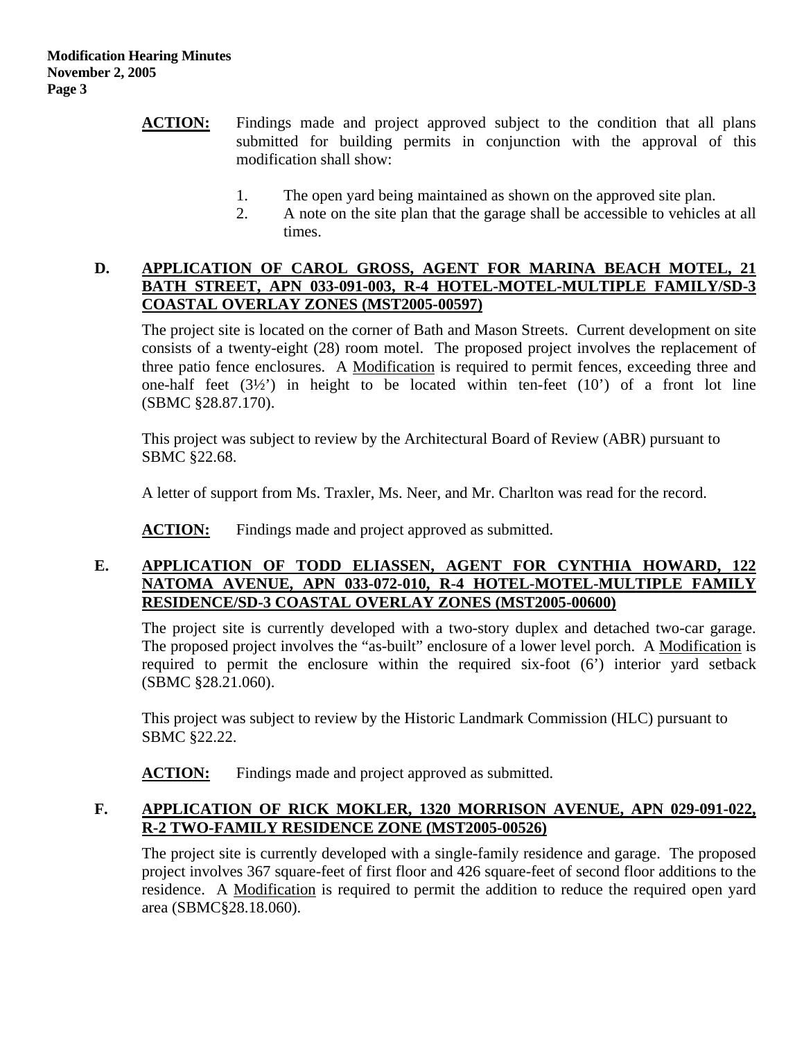- **ACTION:** Findings made and project approved subject to the condition that all plans submitted for building permits in conjunction with the approval of this modification shall show:
	- 1. The open yard being maintained as shown on the approved site plan.
	- 2. A note on the site plan that the garage shall be accessible to vehicles at all times.

#### **D. APPLICATION OF CAROL GROSS, AGENT FOR MARINA BEACH MOTEL, 21 BATH STREET, APN 033-091-003, R-4 HOTEL-MOTEL-MULTIPLE FAMILY/SD-3 COASTAL OVERLAY ZONES (MST2005-00597)**

The project site is located on the corner of Bath and Mason Streets. Current development on site consists of a twenty-eight (28) room motel. The proposed project involves the replacement of three patio fence enclosures. A Modification is required to permit fences, exceeding three and one-half feet  $(3\frac{1}{2})$  in height to be located within ten-feet  $(10')$  of a front lot line (SBMC §28.87.170).

This project was subject to review by the Architectural Board of Review (ABR) pursuant to SBMC §22.68.

A letter of support from Ms. Traxler, Ms. Neer, and Mr. Charlton was read for the record.

**ACTION:** Findings made and project approved as submitted.

## **E. APPLICATION OF TODD ELIASSEN, AGENT FOR CYNTHIA HOWARD, 122 NATOMA AVENUE, APN 033-072-010, R-4 HOTEL-MOTEL-MULTIPLE FAMILY RESIDENCE/SD-3 COASTAL OVERLAY ZONES (MST2005-00600)**

The project site is currently developed with a two-story duplex and detached two-car garage. The proposed project involves the "as-built" enclosure of a lower level porch. A Modification is required to permit the enclosure within the required six-foot (6') interior yard setback (SBMC §28.21.060).

This project was subject to review by the Historic Landmark Commission (HLC) pursuant to SBMC §22.22.

**ACTION:** Findings made and project approved as submitted.

# **F. APPLICATION OF RICK MOKLER, 1320 MORRISON AVENUE, APN 029-091-022, R-2 TWO-FAMILY RESIDENCE ZONE (MST2005-00526)**

The project site is currently developed with a single-family residence and garage. The proposed project involves 367 square-feet of first floor and 426 square-feet of second floor additions to the residence. A Modification is required to permit the addition to reduce the required open yard area (SBMC§28.18.060).